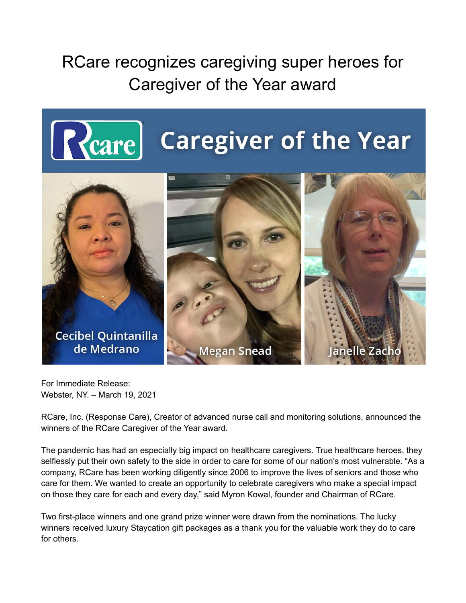## RCare recognizes caregiving super heroes for Caregiver of the Year award





For Immediate Release: Webster, NY. – March 19, 2021

RCare, Inc. (Response Care), Creator of advanced nurse call and monitoring solutions, announced the winners of the RCare Caregiver of the Year award.

The pandemic has had an especially big impact on healthcare caregivers. True healthcare heroes, they selflessly put their own safety to the side in order to care for some of our nation's most vulnerable. "As a company, RCare has been working diligently since 2006 to improve the lives of seniors and those who care for them. We wanted to create an opportunity to celebrate caregivers who make a special impact on those they care for each and every day," said Myron Kowal, founder and Chairman of RCare.

Two first-place winners and one grand prize winner were drawn from the nominations. The lucky winners received luxury Staycation gift packages as a thank you for the valuable work they do to care for others.